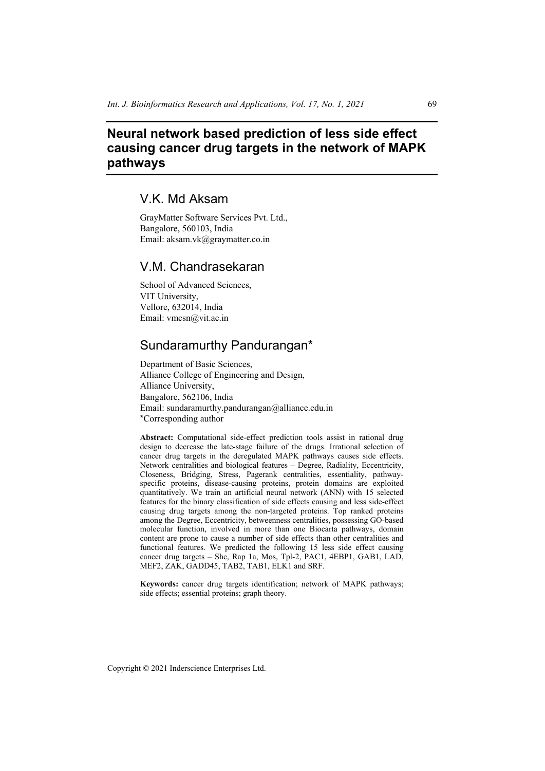# **Neural network based prediction of less side effect causing cancer drug targets in the network of MAPK pathways**

# V.K. Md Aksam

GrayMatter Software Services Pvt. Ltd., Bangalore, 560103, India Email: aksam.vk@graymatter.co.in

## V.M. Chandrasekaran

School of Advanced Sciences, VIT University, Vellore, 632014, India Email: vmcsn@vit.ac.in

## Sundaramurthy Pandurangan\*

Department of Basic Sciences, Alliance College of Engineering and Design, Alliance University, Bangalore, 562106, India Email: sundaramurthy.pandurangan@alliance.edu.in \*Corresponding author

**Abstract:** Computational side-effect prediction tools assist in rational drug design to decrease the late-stage failure of the drugs. Irrational selection of cancer drug targets in the deregulated MAPK pathways causes side effects. Network centralities and biological features – Degree, Radiality, Eccentricity, Closeness, Bridging, Stress, Pagerank centralities, essentiality, pathwayspecific proteins, disease-causing proteins, protein domains are exploited quantitatively. We train an artificial neural network (ANN) with 15 selected features for the binary classification of side effects causing and less side-effect causing drug targets among the non-targeted proteins. Top ranked proteins among the Degree, Eccentricity, betweenness centralities, possessing GO-based molecular function, involved in more than one Biocarta pathways, domain content are prone to cause a number of side effects than other centralities and functional features. We predicted the following 15 less side effect causing cancer drug targets – Shc, Rap 1a, Mos, Tpl-2, PAC1, 4EBP1, GAB1, LAD, MEF2, ZAK, GADD45, TAB2, TAB1, ELK1 and SRF.

**Keywords:** cancer drug targets identification; network of MAPK pathways; side effects; essential proteins; graph theory.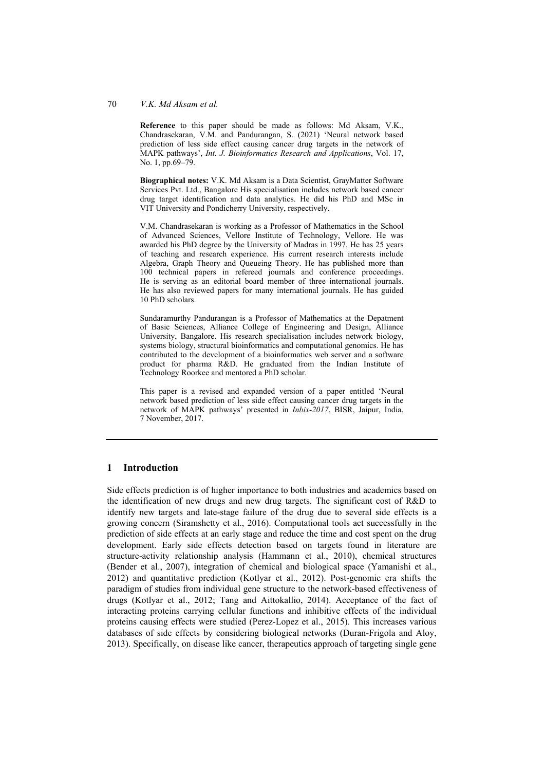#### 70 *V.K. Md Aksam et al.*

**Reference** to this paper should be made as follows: Md Aksam, V.K., Chandrasekaran, V.M. and Pandurangan, S. (2021) 'Neural network based prediction of less side effect causing cancer drug targets in the network of MAPK pathways', *Int. J. Bioinformatics Research and Applications*, Vol. 17, No. 1, pp.69–79.

**Biographical notes:** V.K. Md Aksam is a Data Scientist, GrayMatter Software Services Pvt. Ltd., Bangalore His specialisation includes network based cancer drug target identification and data analytics. He did his PhD and MSc in VIT University and Pondicherry University, respectively.

V.M. Chandrasekaran is working as a Professor of Mathematics in the School of Advanced Sciences, Vellore Institute of Technology, Vellore. He was awarded his PhD degree by the University of Madras in 1997. He has 25 years of teaching and research experience. His current research interests include Algebra, Graph Theory and Queueing Theory. He has published more than 100 technical papers in refereed journals and conference proceedings. He is serving as an editorial board member of three international journals. He has also reviewed papers for many international journals. He has guided 10 PhD scholars.

Sundaramurthy Pandurangan is a Professor of Mathematics at the Depatment of Basic Sciences, Alliance College of Engineering and Design, Alliance University, Bangalore. His research specialisation includes network biology, systems biology, structural bioinformatics and computational genomics. He has contributed to the development of a bioinformatics web server and a software product for pharma R&D. He graduated from the Indian Institute of Technology Roorkee and mentored a PhD scholar.

This paper is a revised and expanded version of a paper entitled 'Neural network based prediction of less side effect causing cancer drug targets in the network of MAPK pathways' presented in *Inbix-2017*, BISR, Jaipur, India, 7 November, 2017.

#### **1 Introduction**

Side effects prediction is of higher importance to both industries and academics based on the identification of new drugs and new drug targets. The significant cost of R&D to identify new targets and late-stage failure of the drug due to several side effects is a growing concern (Siramshetty et al., 2016). Computational tools act successfully in the prediction of side effects at an early stage and reduce the time and cost spent on the drug development. Early side effects detection based on targets found in literature are structure-activity relationship analysis (Hammann et al., 2010), chemical structures (Bender et al., 2007), integration of chemical and biological space (Yamanishi et al., 2012) and quantitative prediction (Kotlyar et al., 2012). Post-genomic era shifts the paradigm of studies from individual gene structure to the network-based effectiveness of drugs (Kotlyar et al., 2012; Tang and Aittokallio, 2014). Acceptance of the fact of interacting proteins carrying cellular functions and inhibitive effects of the individual proteins causing effects were studied (Perez-Lopez et al., 2015). This increases various databases of side effects by considering biological networks (Duran-Frigola and Aloy, 2013). Specifically, on disease like cancer, therapeutics approach of targeting single gene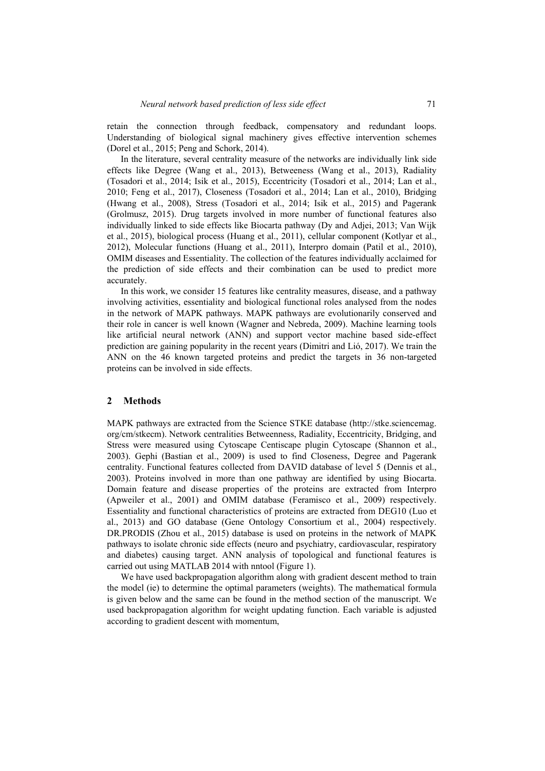retain the connection through feedback, compensatory and redundant loops. Understanding of biological signal machinery gives effective intervention schemes (Dorel et al., 2015; Peng and Schork, 2014).

In the literature, several centrality measure of the networks are individually link side effects like Degree (Wang et al., 2013), Betweeness (Wang et al., 2013), Radiality (Tosadori et al., 2014; Isik et al., 2015), Eccentricity (Tosadori et al., 2014; Lan et al., 2010; Feng et al., 2017), Closeness (Tosadori et al., 2014; Lan et al., 2010), Bridging (Hwang et al., 2008), Stress (Tosadori et al., 2014; Isik et al., 2015) and Pagerank (Grolmusz, 2015). Drug targets involved in more number of functional features also individually linked to side effects like Biocarta pathway (Dy and Adjei, 2013; Van Wijk et al., 2015), biological process (Huang et al., 2011), cellular component (Kotlyar et al., 2012), Molecular functions (Huang et al., 2011), Interpro domain (Patil et al., 2010), OMIM diseases and Essentiality. The collection of the features individually acclaimed for the prediction of side effects and their combination can be used to predict more accurately.

In this work, we consider 15 features like centrality measures, disease, and a pathway involving activities, essentiality and biological functional roles analysed from the nodes in the network of MAPK pathways. MAPK pathways are evolutionarily conserved and their role in cancer is well known (Wagner and Nebreda, 2009). Machine learning tools like artificial neural network (ANN) and support vector machine based side-effect prediction are gaining popularity in the recent years (Dimitri and Lió, 2017). We train the ANN on the 46 known targeted proteins and predict the targets in 36 non-targeted proteins can be involved in side effects.

#### **2 Methods**

MAPK pathways are extracted from the Science STKE database (http://stke.sciencemag. org/cm/stkecm). Network centralities Betweenness, Radiality, Eccentricity, Bridging, and Stress were measured using Cytoscape Centiscape plugin Cytoscape (Shannon et al., 2003). Gephi (Bastian et al., 2009) is used to find Closeness, Degree and Pagerank centrality. Functional features collected from DAVID database of level 5 (Dennis et al., 2003). Proteins involved in more than one pathway are identified by using Biocarta. Domain feature and disease properties of the proteins are extracted from Interpro (Apweiler et al., 2001) and OMIM database (Feramisco et al., 2009) respectively. Essentiality and functional characteristics of proteins are extracted from DEG10 (Luo et al., 2013) and GO database (Gene Ontology Consortium et al., 2004) respectively. DR.PRODIS (Zhou et al., 2015) database is used on proteins in the network of MAPK pathways to isolate chronic side effects (neuro and psychiatry, cardiovascular, respiratory and diabetes) causing target. ANN analysis of topological and functional features is carried out using MATLAB 2014 with nntool (Figure 1).

We have used backpropagation algorithm along with gradient descent method to train the model (ie) to determine the optimal parameters (weights). The mathematical formula is given below and the same can be found in the method section of the manuscript. We used backpropagation algorithm for weight updating function. Each variable is adjusted according to gradient descent with momentum,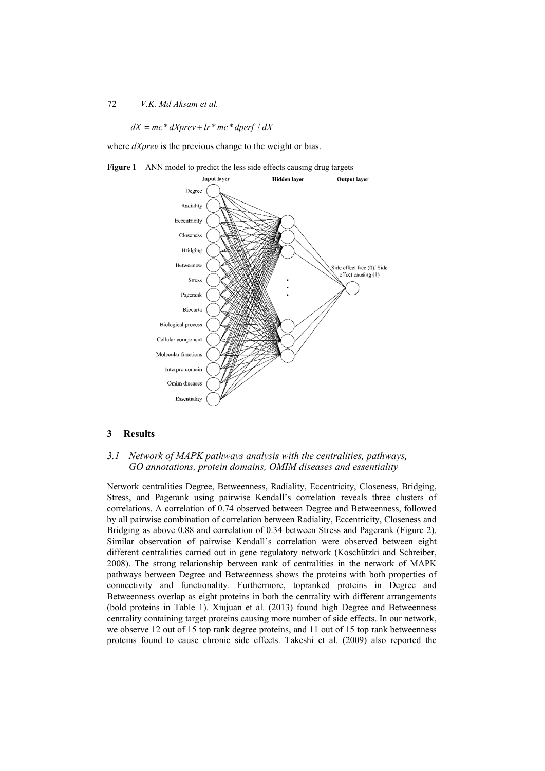#### 72 *V.K. Md Aksam et al.*

#### $dX = mc * dXprev + lr * mc * dperf / dX$

where *dXprev* is the previous change to the weight or bias.



Figure 1 ANN model to predict the less side effects causing drug targets

#### **3 Results**

### *3.1 Network of MAPK pathways analysis with the centralities, pathways, GO annotations, protein domains, OMIM diseases and essentiality*

Network centralities Degree, Betweenness, Radiality, Eccentricity, Closeness, Bridging, Stress, and Pagerank using pairwise Kendall's correlation reveals three clusters of correlations. A correlation of 0.74 observed between Degree and Betweenness, followed by all pairwise combination of correlation between Radiality, Eccentricity, Closeness and Bridging as above 0.88 and correlation of 0.34 between Stress and Pagerank (Figure 2). Similar observation of pairwise Kendall's correlation were observed between eight different centralities carried out in gene regulatory network (Koschützki and Schreiber, 2008). The strong relationship between rank of centralities in the network of MAPK pathways between Degree and Betweenness shows the proteins with both properties of connectivity and functionality. Furthermore, topranked proteins in Degree and Betweenness overlap as eight proteins in both the centrality with different arrangements (bold proteins in Table 1). Xiujuan et al. (2013) found high Degree and Betweenness centrality containing target proteins causing more number of side effects. In our network, we observe 12 out of 15 top rank degree proteins, and 11 out of 15 top rank betweenness proteins found to cause chronic side effects. Takeshi et al. (2009) also reported the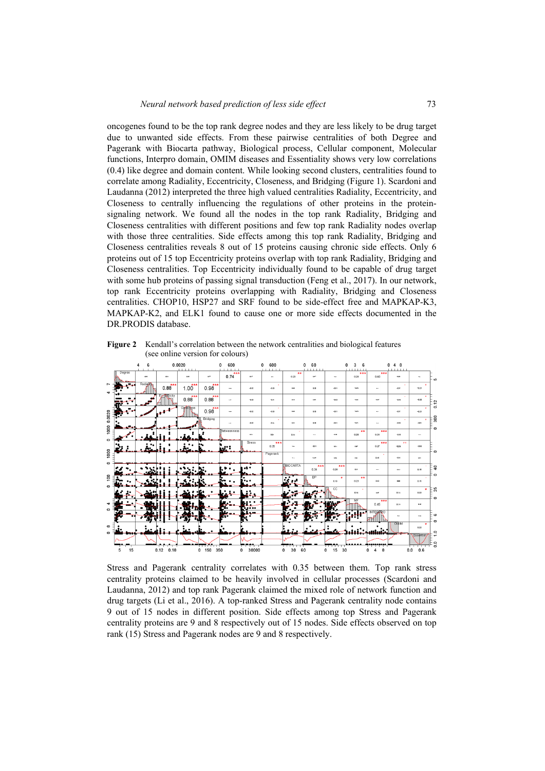oncogenes found to be the top rank degree nodes and they are less likely to be drug target due to unwanted side effects. From these pairwise centralities of both Degree and Pagerank with Biocarta pathway, Biological process, Cellular component, Molecular functions, Interpro domain, OMIM diseases and Essentiality shows very low correlations (0.4) like degree and domain content. While looking second clusters, centralities found to correlate among Radiality, Eccentricity, Closeness, and Bridging (Figure 1). Scardoni and Laudanna (2012) interpreted the three high valued centralities Radiality, Eccentricity, and Closeness to centrally influencing the regulations of other proteins in the proteinsignaling network. We found all the nodes in the top rank Radiality, Bridging and Closeness centralities with different positions and few top rank Radiality nodes overlap with those three centralities. Side effects among this top rank Radiality, Bridging and Closeness centralities reveals 8 out of 15 proteins causing chronic side effects. Only 6 proteins out of 15 top Eccentricity proteins overlap with top rank Radiality, Bridging and Closeness centralities. Top Eccentricity individually found to be capable of drug target with some hub proteins of passing signal transduction (Feng et al., 2017). In our network, top rank Eccentricity proteins overlapping with Radiality, Bridging and Closeness centralities. CHOP10, HSP27 and SRF found to be side-effect free and MAPKAP-K3, MAPKAP-K2, and ELK1 found to cause one or more side effects documented in the DR.PRODIS database.

**Figure 2** Kendall's correlation between the network centralities and biological features (see online version for colours)



Stress and Pagerank centrality correlates with 0.35 between them. Top rank stress centrality proteins claimed to be heavily involved in cellular processes (Scardoni and Laudanna, 2012) and top rank Pagerank claimed the mixed role of network function and drug targets (Li et al., 2016). A top-ranked Stress and Pagerank centrality node contains 9 out of 15 nodes in different position. Side effects among top Stress and Pagerank centrality proteins are 9 and 8 respectively out of 15 nodes. Side effects observed on top rank (15) Stress and Pagerank nodes are 9 and 8 respectively.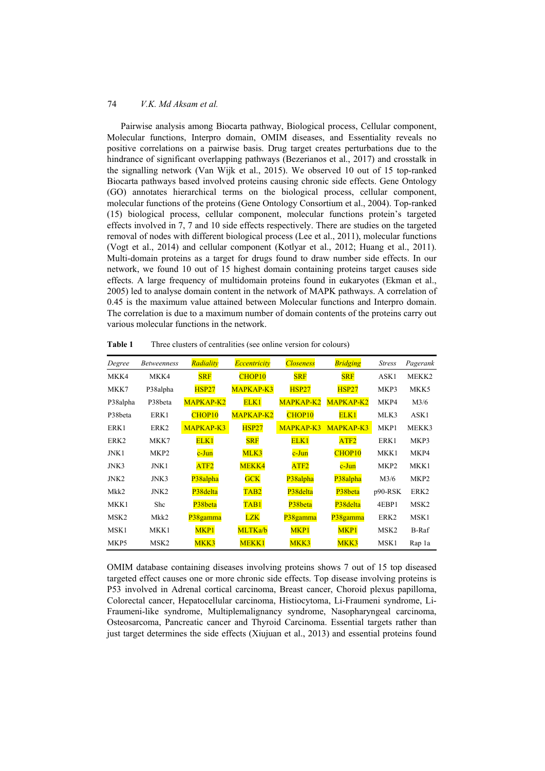Pairwise analysis among Biocarta pathway, Biological process, Cellular component, Molecular functions, Interpro domain, OMIM diseases, and Essentiality reveals no positive correlations on a pairwise basis. Drug target creates perturbations due to the hindrance of significant overlapping pathways (Bezerianos et al., 2017) and crosstalk in the signalling network (Van Wijk et al., 2015). We observed 10 out of 15 top-ranked Biocarta pathways based involved proteins causing chronic side effects. Gene Ontology (GO) annotates hierarchical terms on the biological process, cellular component, molecular functions of the proteins (Gene Ontology Consortium et al., 2004). Top-ranked (15) biological process, cellular component, molecular functions protein's targeted effects involved in 7, 7 and 10 side effects respectively. There are studies on the targeted removal of nodes with different biological process (Lee et al., 2011), molecular functions (Vogt et al., 2014) and cellular component (Kotlyar et al., 2012; Huang et al., 2011). Multi-domain proteins as a target for drugs found to draw number side effects. In our network, we found 10 out of 15 highest domain containing proteins target causes side effects. A large frequency of multidomain proteins found in eukaryotes (Ekman et al., 2005) led to analyse domain content in the network of MAPK pathways. A correlation of 0.45 is the maximum value attained between Molecular functions and Interpro domain. The correlation is due to a maximum number of domain contents of the proteins carry out various molecular functions in the network.

| Degree           | <b>Betweenness</b> | Radiality          | Eccentricity     | <b>Closeness</b>      | <b>Bridging</b>    | <b>Stress</b>    | Pagerank         |
|------------------|--------------------|--------------------|------------------|-----------------------|--------------------|------------------|------------------|
| MKK4             | MKK4               | <b>SRF</b>         | CHOP10           | <b>SRF</b>            | <b>SRF</b>         | ASK1             | MEKK2            |
| MKK7             | P38alpha           | <b>HSP27</b>       | MAPKAP-K3        | <b>HSP27</b>          | <b>HSP27</b>       | MKP3             | MKK5             |
| P38alpha         | P38beta            | MAPKAP-K2          | ELK1             | MAPKAP-K2             | MAPKAP-K2          | MKP4             | M3/6             |
| P38beta          | ERK1               | CHOP <sub>10</sub> | MAPKAP-K2        | CHOP <sub>10</sub>    | ELK1               | MLK3             | ASK1             |
| ERK1             | ERK <sub>2</sub>   | MAPKAP-K3          | <b>HSP27</b>     | MAPKAP-K3             | MAPKAP-K3          | MKP1             | MEKK3            |
| ERK <sub>2</sub> | MKK7               | ELK1               | <b>SRF</b>       | ELK1                  | ATF <sub>2</sub>   | ERK1             | MKP3             |
| JNK1             | MKP <sub>2</sub>   | $c$ -Jun           | MLK3             | $c$ -Jun              | CHOP <sub>10</sub> | MKK1             | MKP4             |
| JNK3             | JNK1               | ATF <sub>2</sub>   | MEKK4            | ATF <sub>2</sub>      | $c$ -Jun           | MKP <sub>2</sub> | MKK1             |
| JNK <sub>2</sub> | JNK3               | P38alpha           | <b>GCK</b>       | P38alpha              | P38alpha           | M3/6             | MKP <sub>2</sub> |
| Mkk2             | JNK <sub>2</sub>   | P38delta           | TAB <sub>2</sub> | P <sub>38</sub> delta | P38beta            | $p90-RSK$        | ERK <sub>2</sub> |
| MKK1             | Shc                | P38beta            | TAB <sub>1</sub> | P38beta               | P38delta           | 4EBP1            | MSK <sub>2</sub> |
| MSK <sub>2</sub> | Mkk2               | P38gamma           | <b>LZK</b>       | P38gamma              | P38gamma           | ERK <sub>2</sub> | MSK1             |
| MSK1             | MKK1               | MKP <sub>1</sub>   | MLTKa/b          | MKP1                  | MKP <sub>1</sub>   | MSK <sub>2</sub> | B-Raf            |
| MKP5             | MSK <sub>2</sub>   | MKK3               | MEKK1            | MKK3                  | MKK3               | MSK1             | Rap la           |

**Table 1** Three clusters of centralities (see online version for colours)

OMIM database containing diseases involving proteins shows 7 out of 15 top diseased targeted effect causes one or more chronic side effects. Top disease involving proteins is P53 involved in Adrenal cortical carcinoma, Breast cancer, Choroid plexus papilloma, Colorectal cancer, Hepatocellular carcinoma, Histiocytoma, Li-Fraumeni syndrome, Li-Fraumeni-like syndrome, Multiplemalignancy syndrome, Nasopharyngeal carcinoma, Osteosarcoma, Pancreatic cancer and Thyroid Carcinoma. Essential targets rather than just target determines the side effects (Xiujuan et al., 2013) and essential proteins found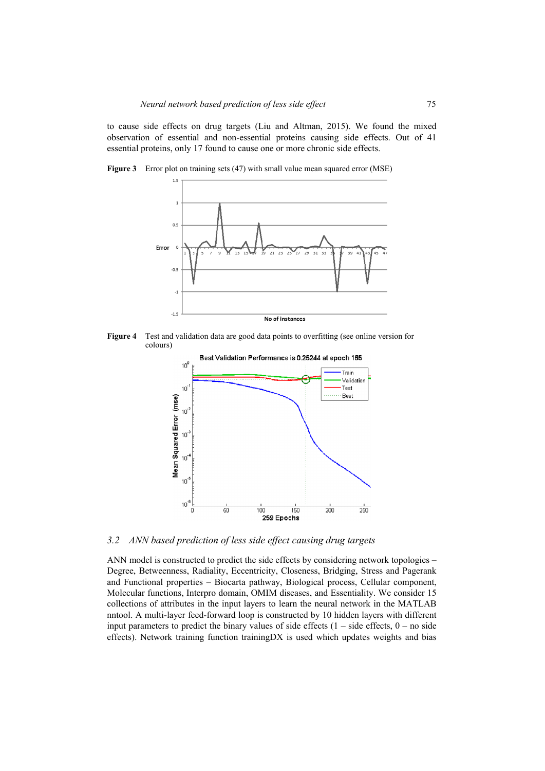to cause side effects on drug targets (Liu and Altman, 2015). We found the mixed observation of essential and non-essential proteins causing side effects. Out of 41 essential proteins, only 17 found to cause one or more chronic side effects.



**Figure 3** Error plot on training sets (47) with small value mean squared error (MSE)



**Figure 4** Test and validation data are good data points to overfitting (see online version for colours)

 $-1$   $-1$ 



*3.2 ANN based prediction of less side effect causing drug targets* 

ANN model is constructed to predict the side effects by considering network topologies – Degree, Betweenness, Radiality, Eccentricity, Closeness, Bridging, Stress and Pagerank and Functional properties – Biocarta pathway, Biological process, Cellular component, Molecular functions, Interpro domain, OMIM diseases, and Essentiality. We consider 15 collections of attributes in the input layers to learn the neural network in the MATLAB nntool. A multi-layer feed-forward loop is constructed by 10 hidden layers with different input parameters to predict the binary values of side effects  $(1 - side$  effects,  $0 - no$  side effects). Network training function trainingDX is used which updates weights and bias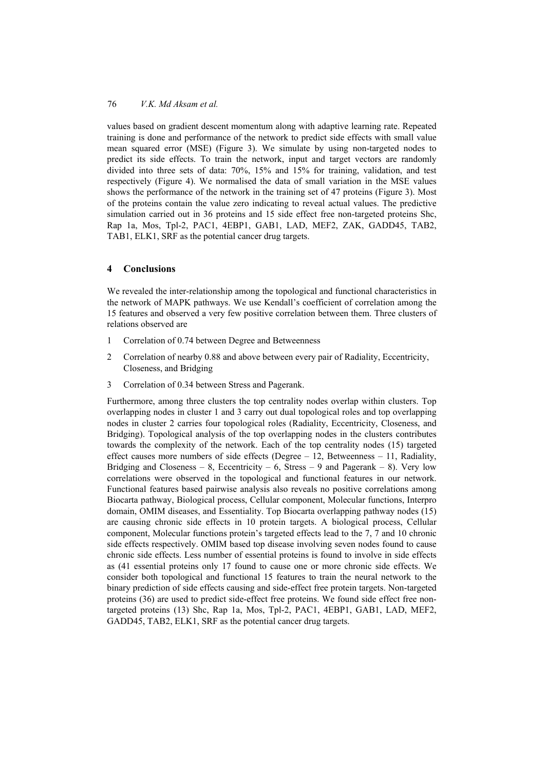values based on gradient descent momentum along with adaptive learning rate. Repeated training is done and performance of the network to predict side effects with small value mean squared error (MSE) (Figure 3). We simulate by using non-targeted nodes to predict its side effects. To train the network, input and target vectors are randomly divided into three sets of data: 70%, 15% and 15% for training, validation, and test respectively (Figure 4). We normalised the data of small variation in the MSE values shows the performance of the network in the training set of 47 proteins (Figure 3). Most of the proteins contain the value zero indicating to reveal actual values. The predictive simulation carried out in 36 proteins and 15 side effect free non-targeted proteins Shc, Rap 1a, Mos, Tpl-2, PAC1, 4EBP1, GAB1, LAD, MEF2, ZAK, GADD45, TAB2, TAB1, ELK1, SRF as the potential cancer drug targets.

### **4 Conclusions**

We revealed the inter-relationship among the topological and functional characteristics in the network of MAPK pathways. We use Kendall's coefficient of correlation among the 15 features and observed a very few positive correlation between them. Three clusters of relations observed are

- 1 Correlation of 0.74 between Degree and Betweenness
- 2 Correlation of nearby 0.88 and above between every pair of Radiality, Eccentricity, Closeness, and Bridging
- 3 Correlation of 0.34 between Stress and Pagerank.

Furthermore, among three clusters the top centrality nodes overlap within clusters. Top overlapping nodes in cluster 1 and 3 carry out dual topological roles and top overlapping nodes in cluster 2 carries four topological roles (Radiality, Eccentricity, Closeness, and Bridging). Topological analysis of the top overlapping nodes in the clusters contributes towards the complexity of the network. Each of the top centrality nodes (15) targeted effect causes more numbers of side effects (Degree – 12, Betweenness – 11, Radiality, Bridging and Closeness – 8, Eccentricity – 6, Stress – 9 and Pagerank – 8). Very low correlations were observed in the topological and functional features in our network. Functional features based pairwise analysis also reveals no positive correlations among Biocarta pathway, Biological process, Cellular component, Molecular functions, Interpro domain, OMIM diseases, and Essentiality. Top Biocarta overlapping pathway nodes (15) are causing chronic side effects in 10 protein targets. A biological process, Cellular component, Molecular functions protein's targeted effects lead to the 7, 7 and 10 chronic side effects respectively. OMIM based top disease involving seven nodes found to cause chronic side effects. Less number of essential proteins is found to involve in side effects as (41 essential proteins only 17 found to cause one or more chronic side effects. We consider both topological and functional 15 features to train the neural network to the binary prediction of side effects causing and side-effect free protein targets. Non-targeted proteins (36) are used to predict side-effect free proteins. We found side effect free nontargeted proteins (13) Shc, Rap 1a, Mos, Tpl-2, PAC1, 4EBP1, GAB1, LAD, MEF2, GADD45, TAB2, ELK1, SRF as the potential cancer drug targets.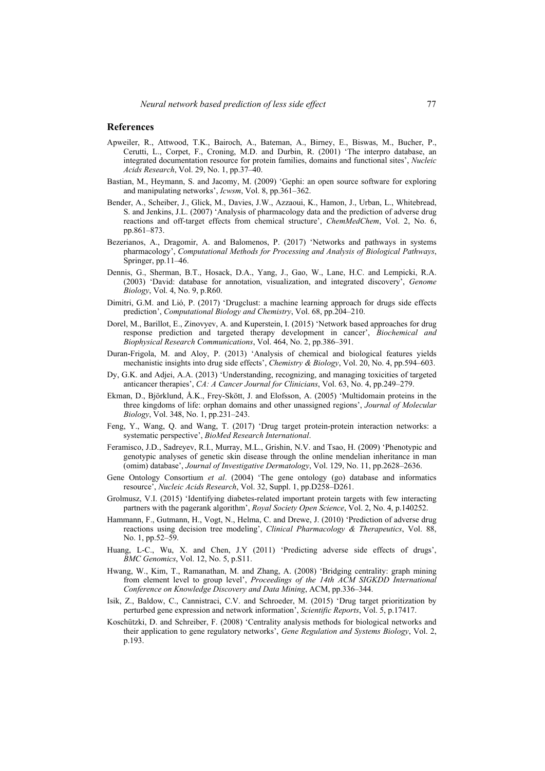### **References**

- Apweiler, R., Attwood, T.K., Bairoch, A., Bateman, A., Birney, E., Biswas, M., Bucher, P., Cerutti, L., Corpet, F., Croning, M.D. and Durbin, R. (2001) 'The interpro database, an integrated documentation resource for protein families, domains and functional sites', *Nucleic Acids Research*, Vol. 29, No. 1, pp.37–40.
- Bastian, M., Heymann, S. and Jacomy, M. (2009) 'Gephi: an open source software for exploring and manipulating networks', *Icwsm*, Vol. 8, pp.361–362.
- Bender, A., Scheiber, J., Glick, M., Davies, J.W., Azzaoui, K., Hamon, J., Urban, L., Whitebread, S. and Jenkins, J.L. (2007) 'Analysis of pharmacology data and the prediction of adverse drug reactions and off-target effects from chemical structure', *ChemMedChem*, Vol. 2, No. 6, pp.861–873.
- Bezerianos, A., Dragomir, A. and Balomenos, P. (2017) 'Networks and pathways in systems pharmacology', *Computational Methods for Processing and Analysis of Biological Pathways*, Springer, pp.11–46.
- Dennis, G., Sherman, B.T., Hosack, D.A., Yang, J., Gao, W., Lane, H.C. and Lempicki, R.A. (2003) 'David: database for annotation, visualization, and integrated discovery', *Genome Biology*, Vol. 4, No. 9, p.R60.
- Dimitri, G.M. and Lió, P. (2017) 'Drugclust: a machine learning approach for drugs side effects prediction', *Computational Biology and Chemistry*, Vol. 68, pp.204–210.
- Dorel, M., Barillot, E., Zinovyev, A. and Kuperstein, I. (2015) 'Network based approaches for drug response prediction and targeted therapy development in cancer', *Biochemical and Biophysical Research Communications*, Vol. 464, No. 2, pp.386–391.
- Duran-Frigola, M. and Aloy, P. (2013) 'Analysis of chemical and biological features yields mechanistic insights into drug side effects', *Chemistry & Biology*, Vol. 20, No. 4, pp.594–603.
- Dy, G.K. and Adjei, A.A. (2013) 'Understanding, recognizing, and managing toxicities of targeted anticancer therapies', *CA: A Cancer Journal for Clinicians*, Vol. 63, No. 4, pp.249–279.
- Ekman, D., Björklund, Å.K., Frey-Skött, J. and Elofsson, A. (2005) 'Multidomain proteins in the three kingdoms of life: orphan domains and other unassigned regions', *Journal of Molecular Biology*, Vol. 348, No. 1, pp.231–243.
- Feng, Y., Wang, Q. and Wang, T. (2017) 'Drug target protein-protein interaction networks: a systematic perspective', *BioMed Research International*.
- Feramisco, J.D., Sadreyev, R.I., Murray, M.L., Grishin, N.V. and Tsao, H. (2009) 'Phenotypic and genotypic analyses of genetic skin disease through the online mendelian inheritance in man (omim) database', *Journal of Investigative Dermatology*, Vol. 129, No. 11, pp.2628–2636.
- Gene Ontology Consortium *et al*. (2004) 'The gene ontology (go) database and informatics resource', *Nucleic Acids Research*, Vol. 32, Suppl. 1, pp.D258–D261.
- Grolmusz, V.I. (2015) 'Identifying diabetes-related important protein targets with few interacting partners with the pagerank algorithm', *Royal Society Open Science*, Vol. 2, No. 4, p.140252.
- Hammann, F., Gutmann, H., Vogt, N., Helma, C. and Drewe, J. (2010) 'Prediction of adverse drug reactions using decision tree modeling', *Clinical Pharmacology & Therapeutics*, Vol. 88, No. 1, pp.52–59.
- Huang, L-C., Wu, X. and Chen, J.Y (2011) 'Predicting adverse side effects of drugs', *BMC Genomics*, Vol. 12, No. 5, p.S11.
- Hwang, W., Kim, T., Ramanathan, M. and Zhang, A. (2008) 'Bridging centrality: graph mining from element level to group level', *Proceedings of the 14th ACM SIGKDD International Conference on Knowledge Discovery and Data Mining*, ACM, pp.336–344.
- Isik, Z., Baldow, C., Cannistraci, C.V. and Schroeder, M. (2015) 'Drug target prioritization by perturbed gene expression and network information', *Scientific Reports*, Vol. 5, p.17417.
- Koschützki, D. and Schreiber, F. (2008) 'Centrality analysis methods for biological networks and their application to gene regulatory networks', *Gene Regulation and Systems Biology*, Vol. 2, p.193.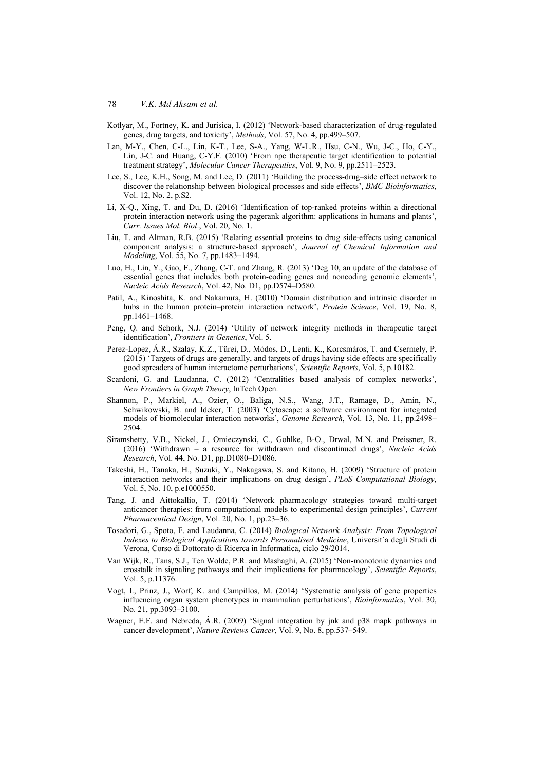- Kotlyar, M., Fortney, K. and Jurisica, I. (2012) 'Network-based characterization of drug-regulated genes, drug targets, and toxicity', *Methods*, Vol. 57, No. 4, pp.499–507.
- Lan, M-Y., Chen, C-L., Lin, K-T., Lee, S-A., Yang, W-L.R., Hsu, C-N., Wu, J-C., Ho, C-Y., Lin, J-C. and Huang, C-Y.F. (2010) 'From npc therapeutic target identification to potential treatment strategy', *Molecular Cancer Therapeutics*, Vol. 9, No. 9, pp.2511–2523.
- Lee, S., Lee, K.H., Song, M. and Lee, D. (2011) 'Building the process-drug–side effect network to discover the relationship between biological processes and side effects', *BMC Bioinformatics*, Vol. 12, No. 2, p.S2.
- Li, X-Q., Xing, T. and Du, D. (2016) 'Identification of top-ranked proteins within a directional protein interaction network using the pagerank algorithm: applications in humans and plants', *Curr. Issues Mol. Biol*., Vol. 20, No. 1.
- Liu, T. and Altman, R.B. (2015) 'Relating essential proteins to drug side-effects using canonical component analysis: a structure-based approach', *Journal of Chemical Information and Modeling*, Vol. 55, No. 7, pp.1483–1494.
- Luo, H., Lin, Y., Gao, F., Zhang, C-T. and Zhang, R. (2013) 'Deg 10, an update of the database of essential genes that includes both protein-coding genes and noncoding genomic elements', *Nucleic Acids Research*, Vol. 42, No. D1, pp.D574–D580.
- Patil, A., Kinoshita, K. and Nakamura, H. (2010) 'Domain distribution and intrinsic disorder in hubs in the human protein–protein interaction network', *Protein Science*, Vol. 19, No. 8, pp.1461–1468.
- Peng, Q. and Schork, N.J. (2014) 'Utility of network integrity methods in therapeutic target identification', *Frontiers in Genetics*, Vol. 5.
- Perez-Lopez, Á.R., Szalay, K.Z., Türei, D., Módos, D., Lenti, K., Korcsmáros, T. and Csermely, P. (2015) 'Targets of drugs are generally, and targets of drugs having side effects are specifically good spreaders of human interactome perturbations', *Scientific Reports*, Vol. 5, p.10182.
- Scardoni, G. and Laudanna, C. (2012) 'Centralities based analysis of complex networks', *New Frontiers in Graph Theory*, InTech Open.
- Shannon, P., Markiel, A., Ozier, O., Baliga, N.S., Wang, J.T., Ramage, D., Amin, N., Schwikowski, B. and Ideker, T. (2003) 'Cytoscape: a software environment for integrated models of biomolecular interaction networks', *Genome Research*, Vol. 13, No. 11, pp.2498– 2504.
- Siramshetty, V.B., Nickel, J., Omieczynski, C., Gohlke, B-O., Drwal, M.N. and Preissner, R. (2016) 'Withdrawn – a resource for withdrawn and discontinued drugs', *Nucleic Acids Research*, Vol. 44, No. D1, pp.D1080–D1086.
- Takeshi, H., Tanaka, H., Suzuki, Y., Nakagawa, S. and Kitano, H. (2009) 'Structure of protein interaction networks and their implications on drug design', *PLoS Computational Biology*, Vol. 5, No. 10, p.e1000550.
- Tang, J. and Aittokallio, T. (2014) 'Network pharmacology strategies toward multi-target anticancer therapies: from computational models to experimental design principles', *Current Pharmaceutical Design*, Vol. 20, No. 1, pp.23–36.
- Tosadori, G., Spoto, F. and Laudanna, C. (2014) *Biological Network Analysis: From Topological Indexes to Biological Applications towards Personalised Medicine*, Universit`a degli Studi di Verona, Corso di Dottorato di Ricerca in Informatica, ciclo 29/2014.
- Van Wijk, R., Tans, S.J., Ten Wolde, P.R. and Mashaghi, A. (2015) 'Non-monotonic dynamics and crosstalk in signaling pathways and their implications for pharmacology', *Scientific Reports*, Vol. 5, p.11376.
- Vogt, I., Prinz, J., Worf, K. and Campillos, M. (2014) 'Systematic analysis of gene properties influencing organ system phenotypes in mammalian perturbations', *Bioinformatics*, Vol. 30, No. 21, pp.3093–3100.
- Wagner, E.F. and Nebreda, Á.R. (2009) 'Signal integration by jnk and p38 mapk pathways in cancer development', *Nature Reviews Cancer*, Vol. 9, No. 8, pp.537–549.